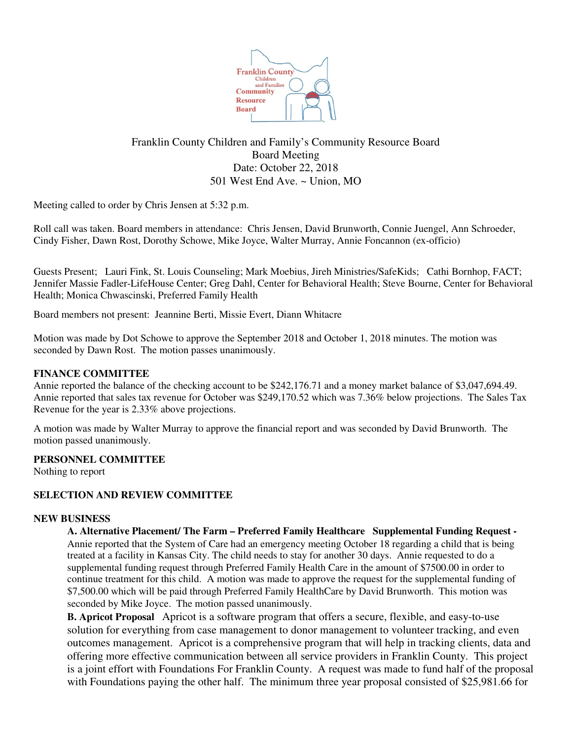

# Franklin County Children and Family's Community Resource Board Board Meeting Date: October 22, 2018 501 West End Ave. ~ Union, MO

Meeting called to order by Chris Jensen at 5:32 p.m.

Roll call was taken. Board members in attendance: Chris Jensen, David Brunworth, Connie Juengel, Ann Schroeder, Cindy Fisher, Dawn Rost, Dorothy Schowe, Mike Joyce, Walter Murray, Annie Foncannon (ex-officio)

Guests Present; Lauri Fink, St. Louis Counseling; Mark Moebius, Jireh Ministries/SafeKids; Cathi Bornhop, FACT; Jennifer Massie Fadler-LifeHouse Center; Greg Dahl, Center for Behavioral Health; Steve Bourne, Center for Behavioral Health; Monica Chwascinski, Preferred Family Health

Board members not present: Jeannine Berti, Missie Evert, Diann Whitacre

Motion was made by Dot Schowe to approve the September 2018 and October 1, 2018 minutes. The motion was seconded by Dawn Rost. The motion passes unanimously.

# **FINANCE COMMITTEE**

Annie reported the balance of the checking account to be \$242,176.71 and a money market balance of \$3,047,694.49. Annie reported that sales tax revenue for October was \$249,170.52 which was 7.36% below projections. The Sales Tax Revenue for the year is 2.33% above projections.

A motion was made by Walter Murray to approve the financial report and was seconded by David Brunworth. The motion passed unanimously.

# **PERSONNEL COMMITTEE**

Nothing to report

# **SELECTION AND REVIEW COMMITTEE**

# **NEW BUSINESS**

**A. Alternative Placement/ The Farm – Preferred Family Healthcare Supplemental Funding Request -** Annie reported that the System of Care had an emergency meeting October 18 regarding a child that is being treated at a facility in Kansas City. The child needs to stay for another 30 days. Annie requested to do a supplemental funding request through Preferred Family Health Care in the amount of \$7500.00 in order to continue treatment for this child. A motion was made to approve the request for the supplemental funding of \$7,500.00 which will be paid through Preferred Family HealthCare by David Brunworth. This motion was seconded by Mike Joyce. The motion passed unanimously.

**B.** Apricot Proposal Apricot is a software program that offers a secure, flexible, and easy-to-use solution for everything from case management to donor management to volunteer tracking, and even outcomes management. Apricot is a comprehensive program that will help in tracking clients, data and offering more effective communication between all service providers in Franklin County. This project is a joint effort with Foundations For Franklin County. A request was made to fund half of the proposal with Foundations paying the other half. The minimum three year proposal consisted of \$25,981.66 for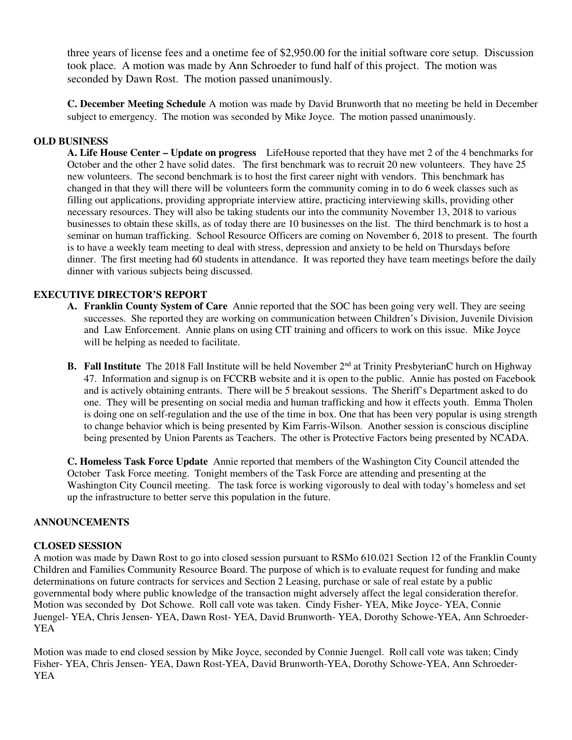three years of license fees and a onetime fee of \$2,950.00 for the initial software core setup. Discussion took place. A motion was made by Ann Schroeder to fund half of this project. The motion was seconded by Dawn Rost. The motion passed unanimously.

**C. December Meeting Schedule** A motion was made by David Brunworth that no meeting be held in December subject to emergency. The motion was seconded by Mike Joyce. The motion passed unanimously.

### **OLD BUSINESS**

**A. Life House Center – Update on progress** LifeHouse reported that they have met 2 of the 4 benchmarks for October and the other 2 have solid dates. The first benchmark was to recruit 20 new volunteers. They have 25 new volunteers. The second benchmark is to host the first career night with vendors. This benchmark has changed in that they will there will be volunteers form the community coming in to do 6 week classes such as filling out applications, providing appropriate interview attire, practicing interviewing skills, providing other necessary resources. They will also be taking students our into the community November 13, 2018 to various businesses to obtain these skills, as of today there are 10 businesses on the list. The third benchmark is to host a seminar on human trafficking. School Resource Officers are coming on November 6, 2018 to present. The fourth is to have a weekly team meeting to deal with stress, depression and anxiety to be held on Thursdays before dinner. The first meeting had 60 students in attendance. It was reported they have team meetings before the daily dinner with various subjects being discussed.

# **EXECUTIVE DIRECTOR'S REPORT**

- **A. Franklin County System of Care** Annie reported that the SOC has been going very well. They are seeing successes. She reported they are working on communication between Children's Division, Juvenile Division and Law Enforcement. Annie plans on using CIT training and officers to work on this issue. Mike Joyce will be helping as needed to facilitate.
- **B.** Fall Institute The 2018 Fall Institute will be held November 2<sup>nd</sup> at Trinity PresbyterianC hurch on Highway 47. Information and signup is on FCCRB website and it is open to the public. Annie has posted on Facebook and is actively obtaining entrants. There will be 5 breakout sessions. The Sheriff's Department asked to do one. They will be presenting on social media and human trafficking and how it effects youth. Emma Tholen is doing one on self-regulation and the use of the time in box. One that has been very popular is using strength to change behavior which is being presented by Kim Farris-Wilson. Another session is conscious discipline being presented by Union Parents as Teachers. The other is Protective Factors being presented by NCADA.

**C. Homeless Task Force Update** Annie reported that members of the Washington City Council attended the October Task Force meeting. Tonight members of the Task Force are attending and presenting at the Washington City Council meeting. The task force is working vigorously to deal with today's homeless and set up the infrastructure to better serve this population in the future.

#### **ANNOUNCEMENTS**

#### **CLOSED SESSION**

A motion was made by Dawn Rost to go into closed session pursuant to RSMo 610.021 Section 12 of the Franklin County Children and Families Community Resource Board. The purpose of which is to evaluate request for funding and make determinations on future contracts for services and Section 2 Leasing, purchase or sale of real estate by a public governmental body where public knowledge of the transaction might adversely affect the legal consideration therefor. Motion was seconded by Dot Schowe. Roll call vote was taken. Cindy Fisher- YEA, Mike Joyce- YEA, Connie Juengel- YEA, Chris Jensen- YEA, Dawn Rost- YEA, David Brunworth- YEA, Dorothy Schowe-YEA, Ann Schroeder-YEA

Motion was made to end closed session by Mike Joyce, seconded by Connie Juengel. Roll call vote was taken; Cindy Fisher- YEA, Chris Jensen- YEA, Dawn Rost-YEA, David Brunworth-YEA, Dorothy Schowe-YEA, Ann Schroeder-YEA